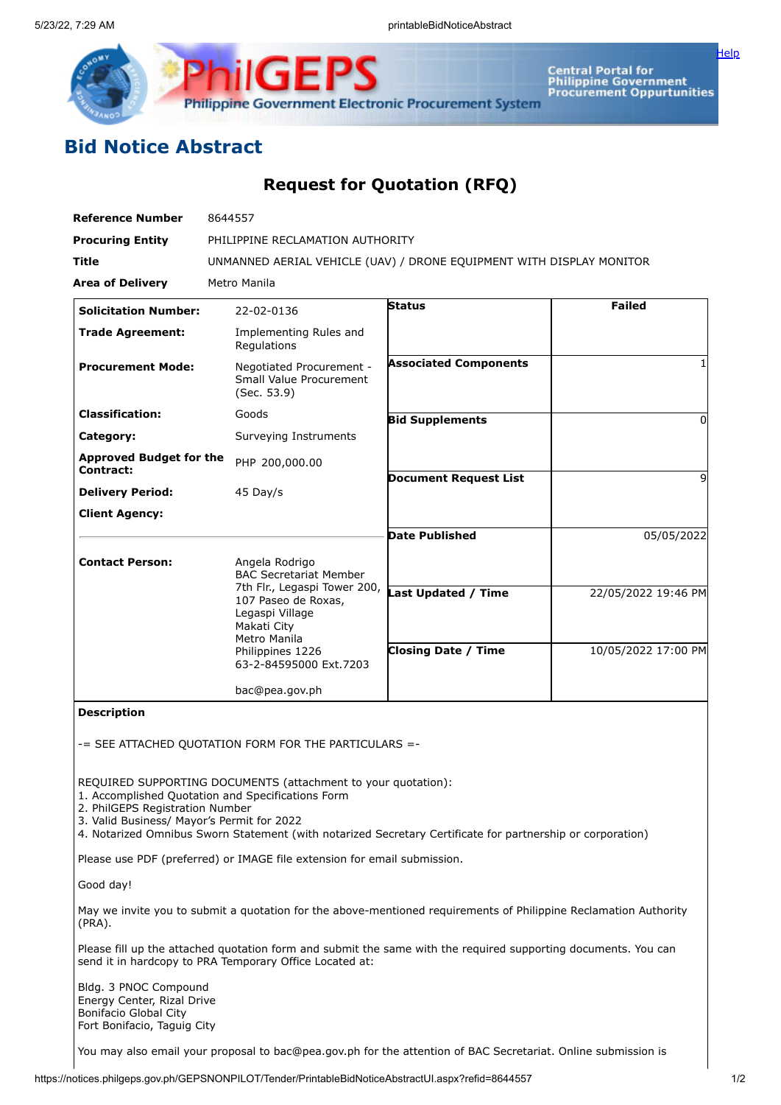

Central Portal for<br>Philippine Government<br>Procurement Oppurtunities

## **Bid Notice Abstract**

## **Request for Quotation (RFQ)**

**Philippine Government Electronic Procurement System** 

**ilGEPS** 

| <b>Reference Number</b>                     | 8644557                                                                                               |                              |                     |  |  |  |  |
|---------------------------------------------|-------------------------------------------------------------------------------------------------------|------------------------------|---------------------|--|--|--|--|
| <b>Procuring Entity</b>                     | PHILIPPINE RECLAMATION AUTHORITY                                                                      |                              |                     |  |  |  |  |
| <b>Title</b>                                | UNMANNED AERIAL VEHICLE (UAV) / DRONE EQUIPMENT WITH DISPLAY MONITOR                                  |                              |                     |  |  |  |  |
| <b>Area of Delivery</b>                     | Metro Manila                                                                                          |                              |                     |  |  |  |  |
| <b>Solicitation Number:</b>                 | 22-02-0136                                                                                            | <b>Status</b>                | <b>Failed</b>       |  |  |  |  |
| <b>Trade Agreement:</b>                     | Implementing Rules and<br>Regulations                                                                 |                              |                     |  |  |  |  |
| <b>Procurement Mode:</b>                    | Negotiated Procurement -<br>Small Value Procurement<br>(Sec. 53.9)                                    | <b>Associated Components</b> |                     |  |  |  |  |
| <b>Classification:</b>                      | Goods                                                                                                 | <b>Bid Supplements</b>       | 0                   |  |  |  |  |
| Category:                                   | Surveying Instruments                                                                                 |                              |                     |  |  |  |  |
| <b>Approved Budget for the</b><br>Contract: | PHP 200,000.00                                                                                        |                              |                     |  |  |  |  |
| <b>Delivery Period:</b>                     | 45 Day/s                                                                                              | <b>Document Request List</b> | 9                   |  |  |  |  |
| <b>Client Agency:</b>                       |                                                                                                       |                              |                     |  |  |  |  |
|                                             |                                                                                                       | <b>Date Published</b>        | 05/05/2022          |  |  |  |  |
| <b>Contact Person:</b>                      | Angela Rodrigo<br><b>BAC Secretariat Member</b>                                                       |                              |                     |  |  |  |  |
|                                             | 7th Flr., Legaspi Tower 200,<br>107 Paseo de Roxas,<br>Legaspi Village<br>Makati City<br>Metro Manila | <b>Last Updated / Time</b>   | 22/05/2022 19:46 PM |  |  |  |  |
|                                             | Philippines 1226<br>63-2-84595000 Ext.7203                                                            | <b>Closing Date / Time</b>   | 10/05/2022 17:00 PM |  |  |  |  |
|                                             | bac@pea.gov.ph                                                                                        |                              |                     |  |  |  |  |
| <b>Description</b>                          | $-$ SFF ATTACHED OUOTATION FORM FOR THE PARTICULARS $=$                                               |                              |                     |  |  |  |  |

REQUIRED SUPPORTING DOCUMENTS (attachment to your quotation):

1. Accomplished Quotation and Specifications Form

2. PhilGEPS Registration Number

3. Valid Business/ Mayor's Permit for 2022

4. Notarized Omnibus Sworn Statement (with notarized Secretary Certificate for partnership or corporation)

Please use PDF (preferred) or IMAGE file extension for email submission.

Good day!

May we invite you to submit a quotation for the above-mentioned requirements of Philippine Reclamation Authority (PRA).

Please fill up the attached quotation form and submit the same with the required supporting documents. You can send it in hardcopy to PRA Temporary Office Located at:

Bldg. 3 PNOC Compound Energy Center, Rizal Drive Bonifacio Global City Fort Bonifacio, Taguig City

You may also email your proposal to bac@pea.gov.ph for the attention of BAC Secretariat. Online submission is